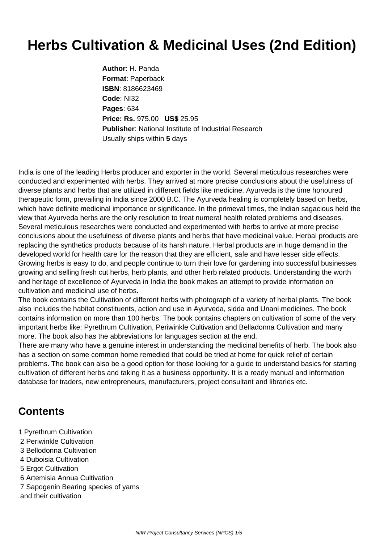## **Herbs Cultivation & Medicinal Uses (2nd Edition)**

**Author**: H. Panda **Format**: Paperback **ISBN**: 8186623469 **Code**: NI32 **Pages**: 634 **Price: Rs.** 975.00 **US\$** 25.95 **Publisher**: National Institute of Industrial Research Usually ships within **5** days

India is one of the leading Herbs producer and exporter in the world. Several meticulous researches were conducted and experimented with herbs. They arrived at more precise conclusions about the usefulness of diverse plants and herbs that are utilized in different fields like medicine. Ayurveda is the time honoured therapeutic form, prevailing in India since 2000 B.C. The Ayurveda healing is completely based on herbs, which have definite medicinal importance or significance. In the primeval times, the Indian sagacious held the view that Ayurveda herbs are the only resolution to treat numeral health related problems and diseases. Several meticulous researches were conducted and experimented with herbs to arrive at more precise conclusions about the usefulness of diverse plants and herbs that have medicinal value. Herbal products are replacing the synthetics products because of its harsh nature. Herbal products are in huge demand in the developed world for health care for the reason that they are efficient, safe and have lesser side effects. Growing herbs is easy to do, and people continue to turn their love for gardening into successful businesses growing and selling fresh cut herbs, herb plants, and other herb related products. Understanding the worth and heritage of excellence of Ayurveda in India the book makes an attempt to provide information on cultivation and medicinal use of herbs.

The book contains the Cultivation of different herbs with photograph of a variety of herbal plants. The book also includes the habitat constituents, action and use in Ayurveda, sidda and Unani medicines. The book contains information on more than 100 herbs. The book contains chapters on cultivation of some of the very important herbs like: Pyrethrum Cultivation, Periwinkle Cultivation and Belladonna Cultivation and many more. The book also has the abbreviations for languages section at the end.

There are many who have a genuine interest in understanding the medicinal benefits of herb. The book also has a section on some common home remedied that could be tried at home for quick relief of certain problems. The book can also be a good option for those looking for a guide to understand basics for starting cultivation of different herbs and taking it as a business opportunity. It is a ready manual and information database for traders, new entrepreneurs, manufacturers, project consultant and libraries etc.

## **Contents**

- 1 Pyrethrum Cultivation
- 2 Periwinkle Cultivation
- 3 Bellodonna Cultivation
- 4 Duboisia Cultivation
- 5 Ergot Cultivation
- 6 Artemisia Annua Cultivation
- 7 Sapogenin Bearing species of yams
- and their cultivation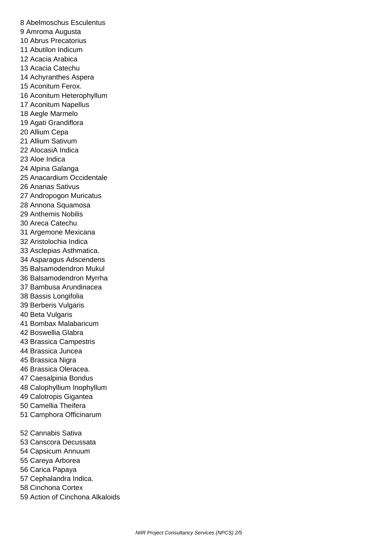8 Abelmoschus Esculentus 9 Amroma Augusta 10 Abrus Precatorius 11 Abutilon Indicum 12 Acacia Arabica 13 Acacia Catechu 14 Achyranthes Aspera 15 Aconitum Ferox. 16 Aconitum Heterophyllum 17 Aconitum Napellus 18 Aegle Marmelo 19 Agati Grandiflora 20 Allium Cepa 21 Allium Sativum 22 AlocasiA Indica 23 Aloe Indica 24 Alpina Galanga 25 Anacardium Occidentale 26 Ananas Sativus 27 Andropogon Muricatus 28 Annona Squamosa 29 Anthemis Nobilis 30 Areca Catechu 31 Argemone Mexicana 32 Aristolochia Indica 33 Asclepias Asthmatica. 34 Asparagus Adscendens 35 Balsamodendron Mukul 36 Balsamodendron Myrrha 37 Bambusa Arundinacea 38 Bassis Longifolia 39 Berberis Vulgaris 40 Beta Vulgaris 41 Bombax Malabaricum 42 Boswellia Glabra 43 Brassica Campestris 44 Brassica Juncea 45 Brassica Nigra 46 Brassica Oleracea. 47 Caesalpinia Bondus 48 Calophyllium Inophyllum 49 Calotropis Gigantea 50 Camellia Theifera 51 Camphora Officinarum 52 Cannabis Sativa 53 Canscora Decussata 54 Capsicum Annuum 55 Careya Arborea 56 Carica Papaya 57 Cephalandra Indica. 58 Cinchona Cortex

59 Action of Cinchona Alkaloids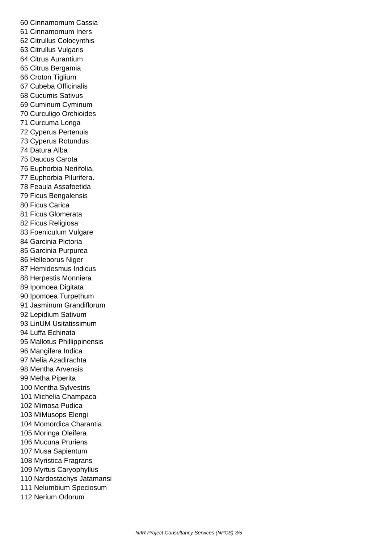60 Cinnamomum Cassia 61 Cinnamomum Iners 62 Citrullus Colocynthis 63 Citrullus Vulgaris 64 Citrus Aurantium 65 Citrus Bergamia 66 Croton Tiglium 67 Cubeba Officinalis 68 Cucumis Sativus 69 Cuminum Cyminum 70 Curculigo Orchioides 71 Curcuma Longa 72 Cyperus Pertenuis 73 Cyperus Rotundus 74 Datura Alba 75 Daucus Carota 76 Euphorbia Neriifolia. 77 Euphorbia Pilurifera. 78 Feaula Assafoetida 79 Ficus Bengalensis 80 Ficus Carica 81 Ficus Glomerata 82 Ficus Religiosa 83 Foeniculum Vulgare 84 Garcinia Pictoria 85 Garcinia Purpurea 86 Helleborus Niger 87 Hemidesmus Indicus 88 Herpestis Monniera 89 Ipomoea Digitata 90 Ipomoea Turpethum 91 Jasminum Grandiflorum 92 Lepidium Sativum 93 LinUM Usitatissimum 94 Luffa Echinata 95 Mallotus Phillippinensis 96 Mangifera Indica 97 Melia Azadirachta 98 Mentha Arvensis 99 Metha Piperita 100 Mentha Sylvestris 101 Michelia Champaca 102 Mimosa Pudica 103 MiMusops Elengi 104 Momordica Charantia 105 Moringa Oleifera 106 Mucuna Pruriens 107 Musa Sapientum 108 Myristica Fragrans 109 Myrtus Caryophyllus 110 Nardostachys Jatamansi 111 Nelumbium Speciosum 112 Nerium Odorum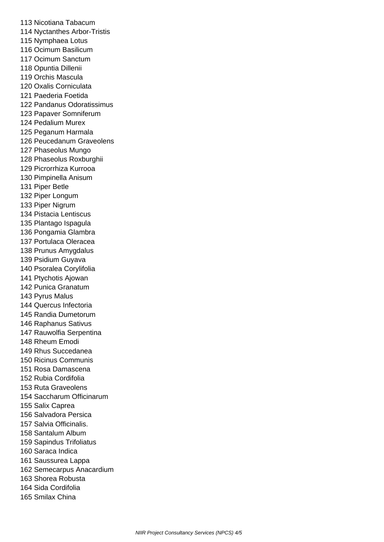113 Nicotiana Tabacum 114 Nyctanthes Arbor-Tristis 115 Nymphaea Lotus 116 Ocimum Basilicum 117 Ocimum Sanctum 118 Opuntia Dillenii 119 Orchis Mascula 120 Oxalis Corniculata 121 Paederia Foetida 122 Pandanus Odoratissimus 123 Papaver Somniferum 124 Pedalium Murex 125 Peganum Harmala 126 Peucedanum Graveolens 127 Phaseolus Mungo 128 Phaseolus Roxburghii 129 Picrorrhiza Kurrooa 130 Pimpinella Anisum 131 Piper Betle 132 Piper Longum 133 Piper Nigrum 134 Pistacia Lentiscus 135 Plantago Ispagula 136 Pongamia Glambra 137 Portulaca Oleracea 138 Prunus Amygdalus 139 Psidium Guyava 140 Psoralea Corylifolia 141 Ptychotis Ajowan 142 Punica Granatum 143 Pyrus Malus 144 Quercus Infectoria 145 Randia Dumetorum 146 Raphanus Sativus 147 Rauwolfia Serpentina 148 Rheum Emodi 149 Rhus Succedanea 150 Ricinus Communis 151 Rosa Damascena 152 Rubia Cordifolia 153 Ruta Graveolens 154 Saccharum Officinarum 155 Salix Caprea 156 Salvadora Persica 157 Salvia Officinalis. 158 Santalum Album 159 Sapindus Trifoliatus 160 Saraca Indica 161 Saussurea Lappa 162 Semecarpus Anacardium 163 Shorea Robusta 164 Sida Cordifolia 165 Smilax China